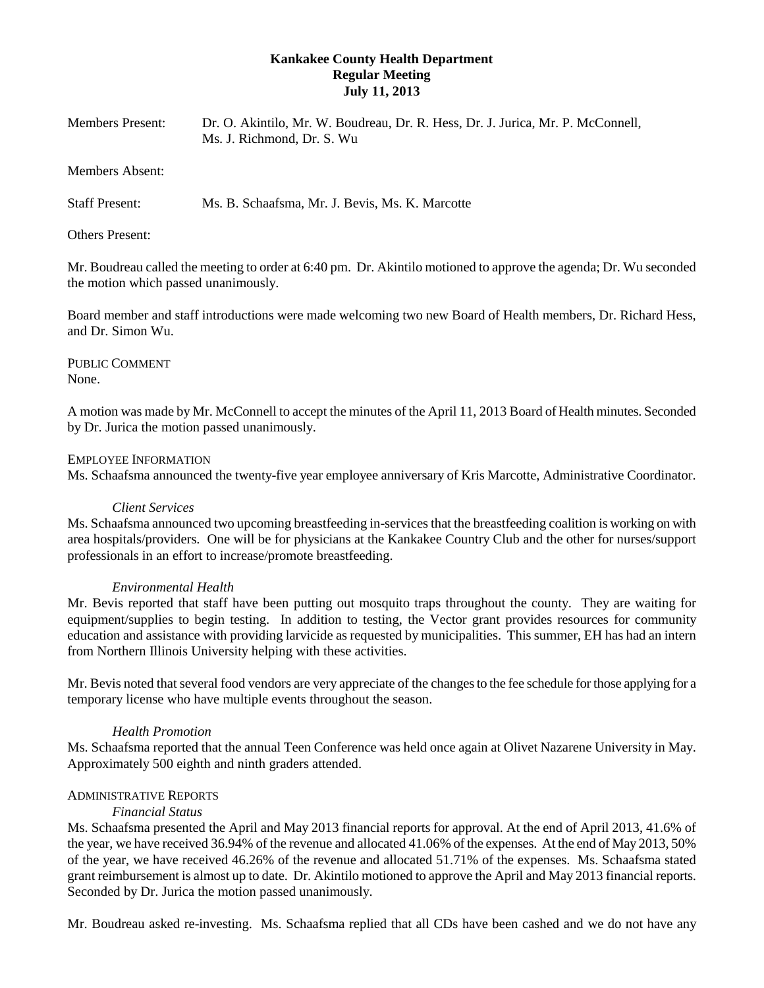## **Kankakee County Health Department Regular Meeting July 11, 2013**

| Members Present: | Dr. O. Akintilo, Mr. W. Boudreau, Dr. R. Hess, Dr. J. Jurica, Mr. P. McConnell,<br>Ms. J. Richmond. Dr. S. Wu |
|------------------|---------------------------------------------------------------------------------------------------------------|
| Members Absent:  |                                                                                                               |

Staff Present: Ms. B. Schaafsma, Mr. J. Bevis, Ms. K. Marcotte

Others Present:

Mr. Boudreau called the meeting to order at 6:40 pm. Dr. Akintilo motioned to approve the agenda; Dr. Wu seconded the motion which passed unanimously.

Board member and staff introductions were made welcoming two new Board of Health members, Dr. Richard Hess, and Dr. Simon Wu.

PUBLIC COMMENT None.

A motion was made by Mr. McConnell to accept the minutes of the April 11, 2013 Board of Health minutes. Seconded by Dr. Jurica the motion passed unanimously.

### EMPLOYEE INFORMATION

Ms. Schaafsma announced the twenty-five year employee anniversary of Kris Marcotte, Administrative Coordinator.

### *Client Services*

Ms. Schaafsma announced two upcoming breastfeeding in-services that the breastfeeding coalition is working on with area hospitals/providers. One will be for physicians at the Kankakee Country Club and the other for nurses/support professionals in an effort to increase/promote breastfeeding.

### *Environmental Health*

Mr. Bevis reported that staff have been putting out mosquito traps throughout the county. They are waiting for equipment/supplies to begin testing. In addition to testing, the Vector grant provides resources for community education and assistance with providing larvicide as requested by municipalities. This summer, EH has had an intern from Northern Illinois University helping with these activities.

Mr. Bevis noted that several food vendors are very appreciate of the changes to the fee schedule for those applying for a temporary license who have multiple events throughout the season.

### *Health Promotion*

Ms. Schaafsma reported that the annual Teen Conference was held once again at Olivet Nazarene University in May. Approximately 500 eighth and ninth graders attended.

# ADMINISTRATIVE REPORTS

### *Financial Status*

Ms. Schaafsma presented the April and May 2013 financial reports for approval. At the end of April 2013, 41.6% of the year, we have received 36.94% of the revenue and allocated 41.06% of the expenses. At the end of May 2013, 50% of the year, we have received 46.26% of the revenue and allocated 51.71% of the expenses. Ms. Schaafsma stated grant reimbursement is almost up to date. Dr. Akintilo motioned to approve the April and May 2013 financial reports. Seconded by Dr. Jurica the motion passed unanimously.

Mr. Boudreau asked re-investing. Ms. Schaafsma replied that all CDs have been cashed and we do not have any